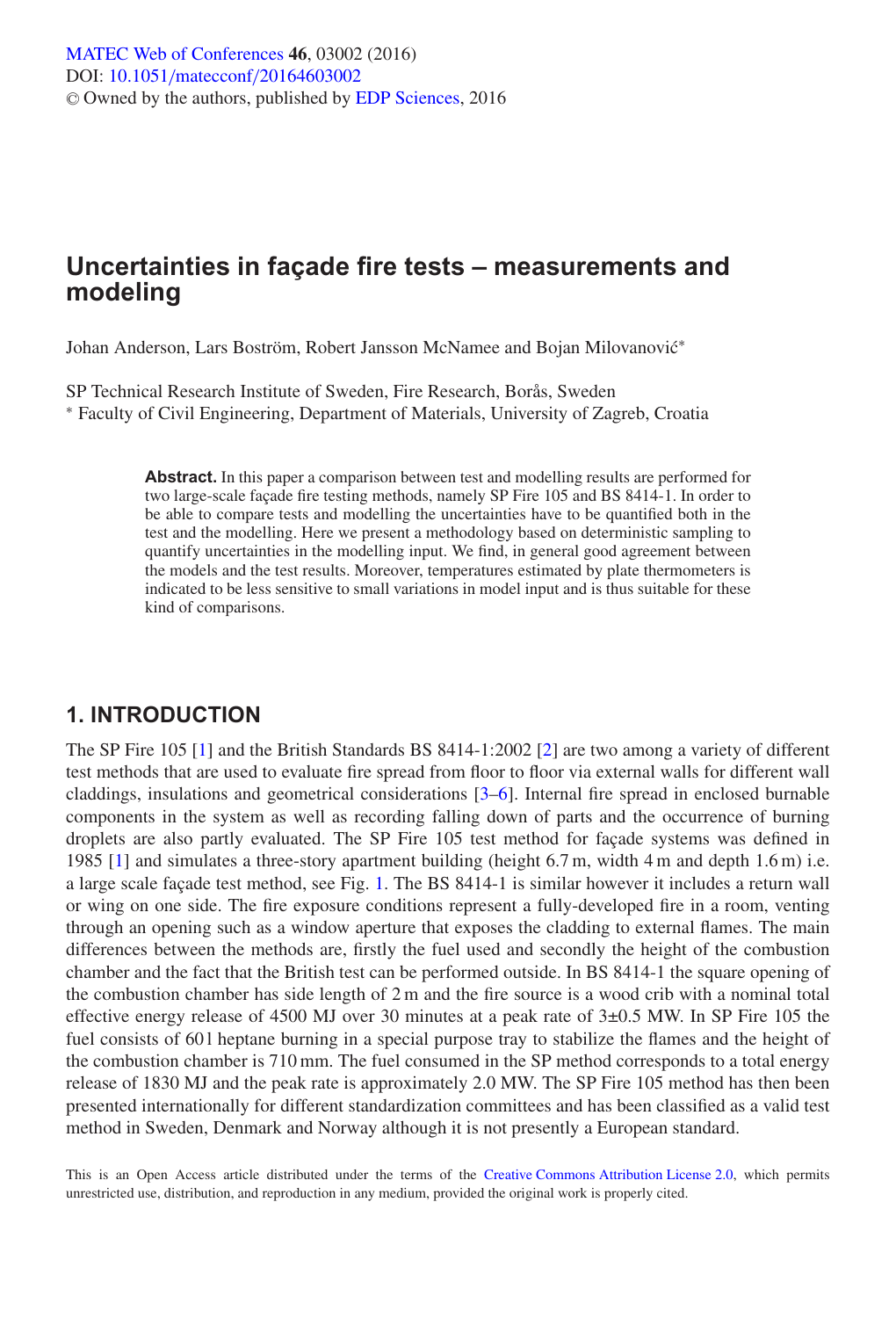# **Uncertainties in façade fire tests – measurements and modeling**

Johan Anderson, Lars Boström, Robert Jansson McNamee and Bojan Milovanović<sup>∗</sup>

SP Technical Research Institute of Sweden, Fire Research, Borås, Sweden <sup>∗</sup> Faculty of Civil Engineering, Department of Materials, University of Zagreb, Croatia

> **Abstract.** In this paper a comparison between test and modelling results are performed for two large-scale façade fire testing methods, namely SP Fire 105 and BS 8414-1. In order to be able to compare tests and modelling the uncertainties have to be quantified both in the test and the modelling. Here we present a methodology based on deterministic sampling to quantify uncertainties in the modelling input. We find, in general good agreement between the models and the test results. Moreover, temperatures estimated by plate thermometers is indicated to be less sensitive to small variations in model input and is thus suitable for these kind of comparisons.

## **1. INTRODUCTION**

The SP Fire 105 [\[1\]](#page-11-0) and the British Standards BS 8414-1:2002 [\[2](#page-11-1)] are two among a variety of different test methods that are used to evaluate fire spread from floor to floor via external walls for different wall claddings, insulations and geometrical considerations [\[3](#page-11-2)[–6](#page-12-0)]. Internal fire spread in enclosed burnable components in the system as well as recording falling down of parts and the occurrence of burning droplets are also partly evaluated. The SP Fire 105 test method for façade systems was defined in 1985 [\[1\]](#page-11-0) and simulates a three-story apartment building (height 6.7 m, width 4 m and depth 1.6 m) i.e. a large scale façade test method, see Fig. [1.](#page-1-0) The BS 8414-1 is similar however it includes a return wall or wing on one side. The fire exposure conditions represent a fully-developed fire in a room, venting through an opening such as a window aperture that exposes the cladding to external flames. The main differences between the methods are, firstly the fuel used and secondly the height of the combustion chamber and the fact that the British test can be performed outside. In BS 8414-1 the square opening of the combustion chamber has side length of 2 m and the fire source is a wood crib with a nominal total effective energy release of 4500 MJ over 30 minutes at a peak rate of 3±0.5 MW. In SP Fire 105 the fuel consists of 601 heptane burning in a special purpose tray to stabilize the flames and the height of the combustion chamber is 710 mm. The fuel consumed in the SP method corresponds to a total energy release of 1830 MJ and the peak rate is approximately 2.0 MW. The SP Fire 105 method has then been presented internationally for different standardization committees and has been classified as a valid test method in Sweden, Denmark and Norway although it is not presently a European standard.

This is an Open Access article distributed under the terms of the [Creative Commons Attribution License 2.0,](http://creativecommons.org/licenses/by/2.0/) which permits unrestricted use, distribution, and reproduction in any medium, provided the original work is properly cited.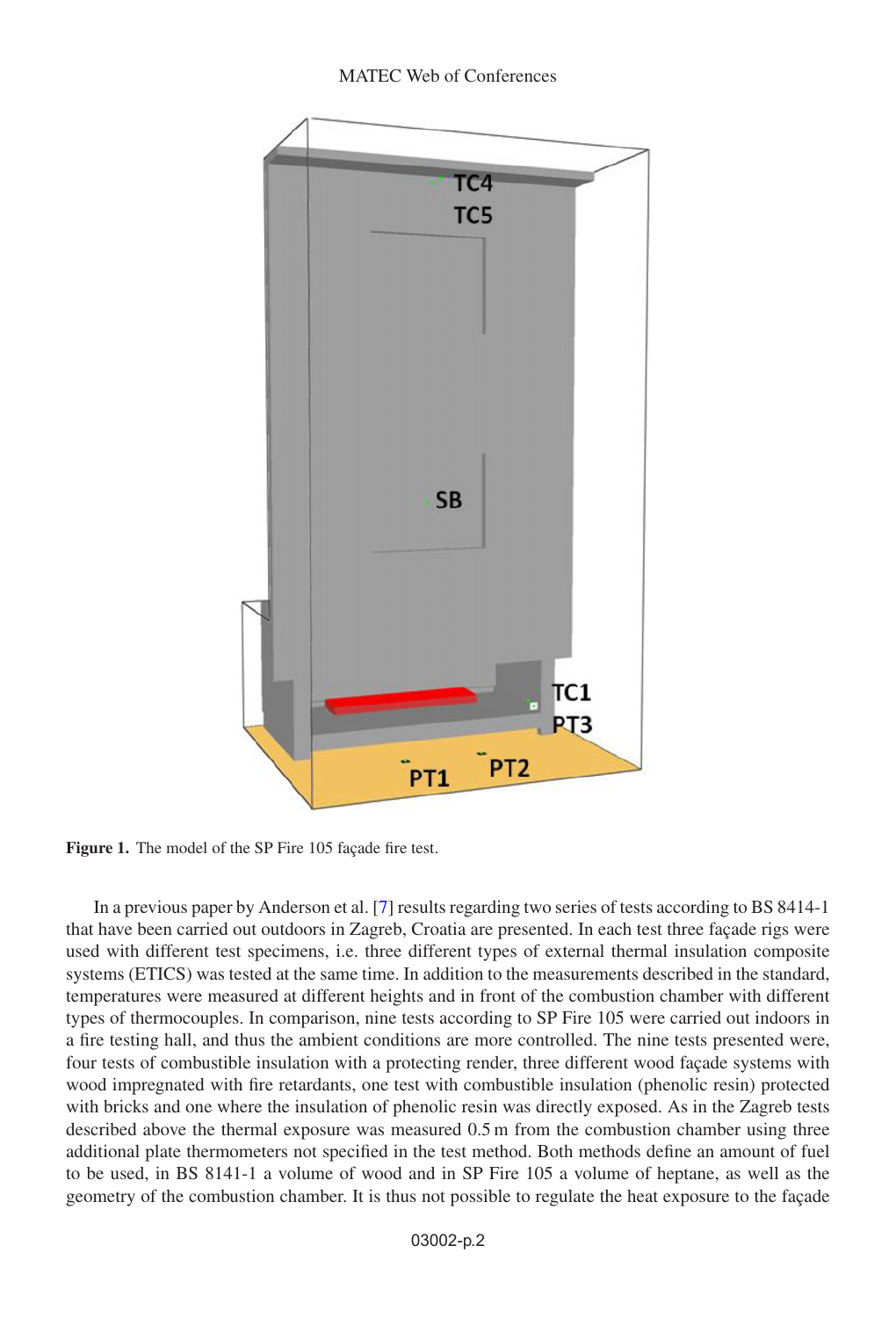<span id="page-1-0"></span>

**Figure 1.** The model of the SP Fire 105 façade fire test.

In a previous paper by Anderson et al. [\[7\]](#page-12-1) results regarding two series of tests according to BS 8414-1 that have been carried out outdoors in Zagreb, Croatia are presented. In each test three façade rigs were used with different test specimens, i.e. three different types of external thermal insulation composite systems (ETICS) was tested at the same time. In addition to the measurements described in the standard, temperatures were measured at different heights and in front of the combustion chamber with different types of thermocouples. In comparison, nine tests according to SP Fire 105 were carried out indoors in a fire testing hall, and thus the ambient conditions are more controlled. The nine tests presented were, four tests of combustible insulation with a protecting render, three different wood façade systems with wood impregnated with fire retardants, one test with combustible insulation (phenolic resin) protected with bricks and one where the insulation of phenolic resin was directly exposed. As in the Zagreb tests described above the thermal exposure was measured 0.5 m from the combustion chamber using three additional plate thermometers not specified in the test method. Both methods define an amount of fuel to be used, in BS 8141-1 a volume of wood and in SP Fire 105 a volume of heptane, as well as the geometry of the combustion chamber. It is thus not possible to regulate the heat exposure to the façade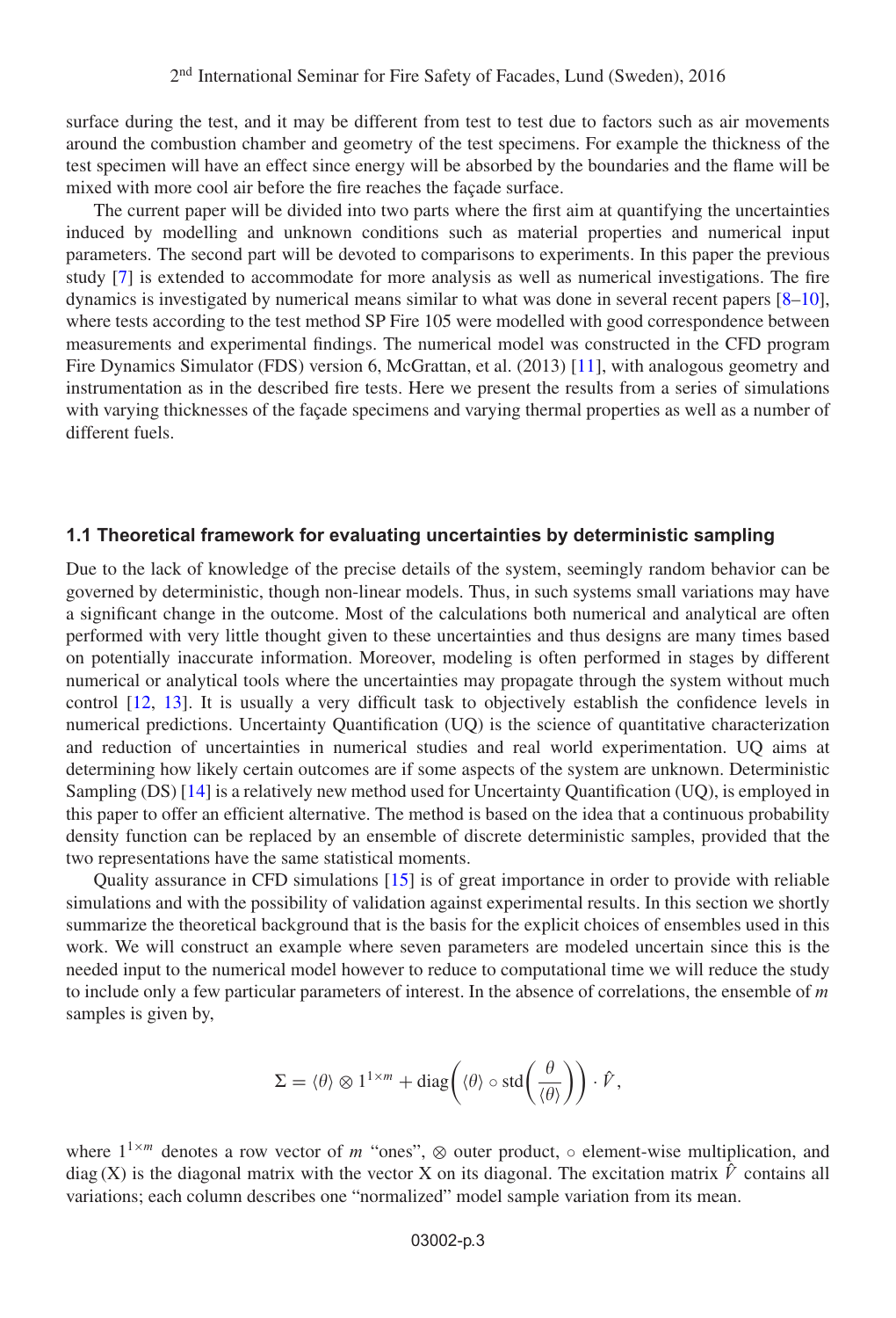surface during the test, and it may be different from test to test due to factors such as air movements around the combustion chamber and geometry of the test specimens. For example the thickness of the test specimen will have an effect since energy will be absorbed by the boundaries and the flame will be mixed with more cool air before the fire reaches the façade surface.

The current paper will be divided into two parts where the first aim at quantifying the uncertainties induced by modelling and unknown conditions such as material properties and numerical input parameters. The second part will be devoted to comparisons to experiments. In this paper the previous study [\[7\]](#page-12-1) is extended to accommodate for more analysis as well as numerical investigations. The fire dynamics is investigated by numerical means similar to what was done in several recent papers  $[8-10]$  $[8-10]$ , where tests according to the test method SP Fire 105 were modelled with good correspondence between measurements and experimental findings. The numerical model was constructed in the CFD program Fire Dynamics Simulator (FDS) version 6, McGrattan, et al. (2013) [\[11](#page-12-4)], with analogous geometry and instrumentation as in the described fire tests. Here we present the results from a series of simulations with varying thicknesses of the façade specimens and varying thermal properties as well as a number of different fuels.

#### **1.1 Theoretical framework for evaluating uncertainties by deterministic sampling**

Due to the lack of knowledge of the precise details of the system, seemingly random behavior can be governed by deterministic, though non-linear models. Thus, in such systems small variations may have a significant change in the outcome. Most of the calculations both numerical and analytical are often performed with very little thought given to these uncertainties and thus designs are many times based on potentially inaccurate information. Moreover, modeling is often performed in stages by different numerical or analytical tools where the uncertainties may propagate through the system without much control [\[12](#page-12-5), [13\]](#page-12-6). It is usually a very difficult task to objectively establish the confidence levels in numerical predictions. Uncertainty Quantification (UQ) is the science of quantitative characterization and reduction of uncertainties in numerical studies and real world experimentation. UQ aims at determining how likely certain outcomes are if some aspects of the system are unknown. Deterministic Sampling (DS) [\[14\]](#page-12-7) is a relatively new method used for Uncertainty Quantification (UQ), is employed in this paper to offer an efficient alternative. The method is based on the idea that a continuous probability density function can be replaced by an ensemble of discrete deterministic samples, provided that the two representations have the same statistical moments.

Quality assurance in CFD simulations [\[15\]](#page-12-8) is of great importance in order to provide with reliable simulations and with the possibility of validation against experimental results. In this section we shortly summarize the theoretical background that is the basis for the explicit choices of ensembles used in this work. We will construct an example where seven parameters are modeled uncertain since this is the needed input to the numerical model however to reduce to computational time we will reduce the study to include only a few particular parameters of interest. In the absence of correlations, the ensemble of  $m$ samples is given by,

$$
\Sigma = \langle \theta \rangle \otimes 1^{1 \times m} + \text{diag}\left( \langle \theta \rangle \circ \text{std}\left(\frac{\theta}{\langle \theta \rangle}\right) \right) \cdot \hat{V},
$$

where  $1^{1\times m}$  denotes a row vector of m "ones",  $\otimes$  outer product,  $\circ$  element-wise multiplication, and diag (X) is the diagonal matrix with the vector X on its diagonal. The excitation matrix  $\hat{V}$  contains all variations; each column describes one "normalized" model sample variation from its mean.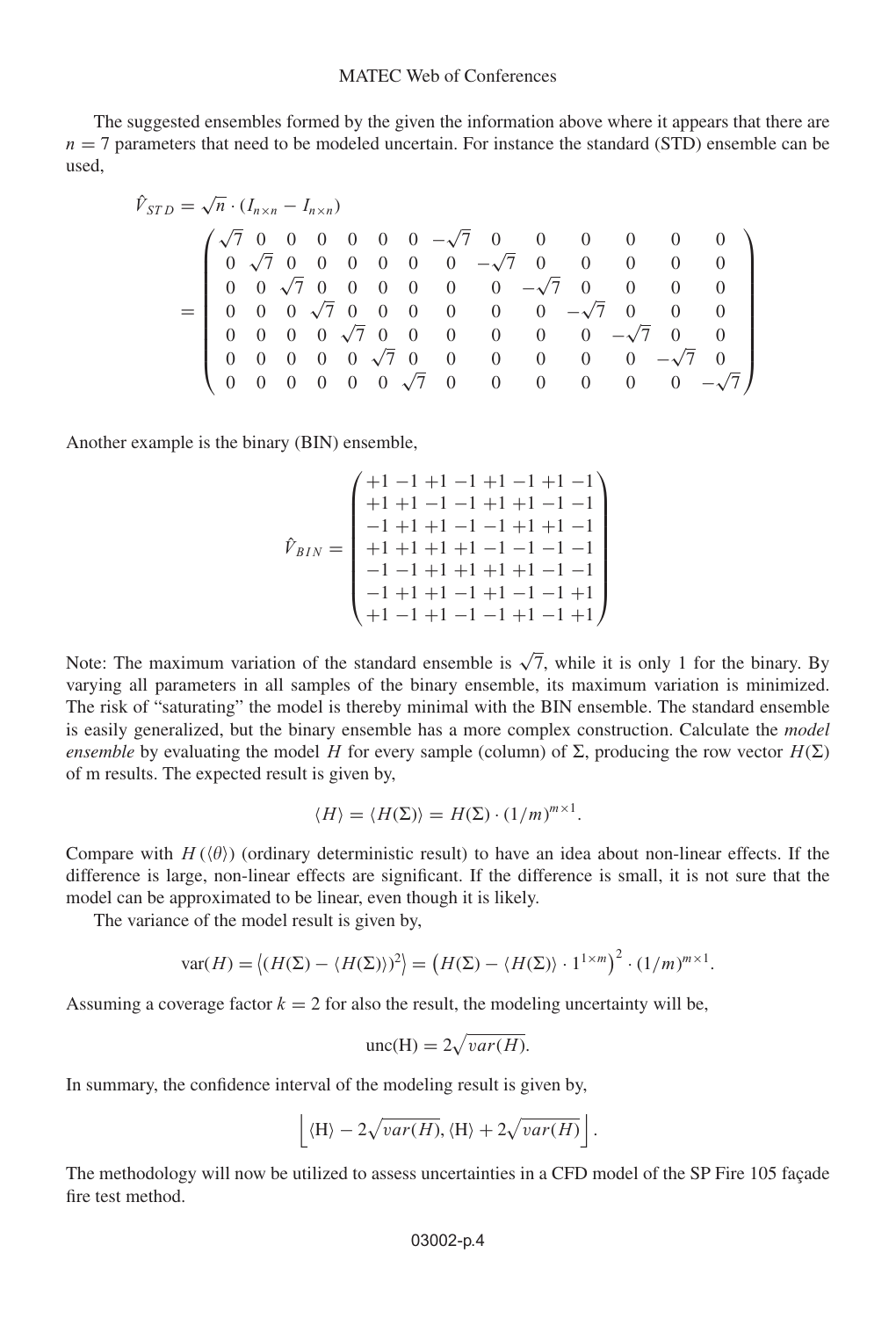#### MATEC Web of Conferences

The suggested ensembles formed by the given the information above where it appears that there are  $n = 7$  parameters that need to be modeled uncertain. For instance the standard (STD) ensemble can be used,

$$
\hat{V}_{STD} = \sqrt{n} \cdot (I_{n \times n} - I_{n \times n})
$$
\n
$$
= \begin{pmatrix}\n\sqrt{7} & 0 & 0 & 0 & 0 & 0 & -\sqrt{7} & 0 & 0 & 0 & 0 & 0 & 0 \\
0 & \sqrt{7} & 0 & 0 & 0 & 0 & 0 & -\sqrt{7} & 0 & 0 & 0 & 0 & 0 \\
0 & 0 & \sqrt{7} & 0 & 0 & 0 & 0 & 0 & -\sqrt{7} & 0 & 0 & 0 & 0 \\
0 & 0 & 0 & \sqrt{7} & 0 & 0 & 0 & 0 & 0 & -\sqrt{7} & 0 & 0 & 0 \\
0 & 0 & 0 & 0 & \sqrt{7} & 0 & 0 & 0 & 0 & 0 & -\sqrt{7} & 0 & 0 \\
0 & 0 & 0 & 0 & \sqrt{7} & 0 & 0 & 0 & 0 & 0 & 0 & -\sqrt{7} & 0 \\
0 & 0 & 0 & 0 & 0 & \sqrt{7} & 0 & 0 & 0 & 0 & 0 & 0 & -\sqrt{7} & 0 \\
0 & 0 & 0 & 0 & 0 & \sqrt{7} & 0 & 0 & 0 & 0 & 0 & 0 & -\sqrt{7} & 0\n\end{pmatrix}
$$

Another example is the binary (BIN) ensemble,

$$
\hat{V}_{BIN} = \begin{pmatrix}\n+1 & -1 & +1 & -1 & +1 & -1 \\
+1 & +1 & -1 & -1 & +1 & +1 & -1 \\
-1 & +1 & +1 & -1 & -1 & +1 & +1 & -1 \\
+1 & +1 & +1 & +1 & -1 & -1 & -1 & -1 \\
-1 & -1 & +1 & +1 & +1 & +1 & -1 & -1 \\
-1 & +1 & +1 & -1 & +1 & -1 & +1 & +1\n\end{pmatrix}
$$

Note: The maximum variation of the standard ensemble is  $\sqrt{7}$ , while it is only 1 for the binary. By varying all parameters in all samples of the binary ensemble, its maximum variation is minimized. The risk of "saturating" the model is thereby minimal with the BIN ensemble. The standard ensemble is easily generalized, but the binary ensemble has a more complex construction. Calculate the *model ensemble* by evaluating the model H for every sample (column) of  $\Sigma$ , producing the row vector  $H(\Sigma)$ of m results. The expected result is given by,

$$
\langle H \rangle = \langle H(\Sigma) \rangle = H(\Sigma) \cdot (1/m)^{m \times 1}.
$$

Compare with  $H(\langle \theta \rangle)$  (ordinary deterministic result) to have an idea about non-linear effects. If the difference is large, non-linear effects are significant. If the difference is small, it is not sure that the model can be approximated to be linear, even though it is likely.

The variance of the model result is given by,

$$
\text{var}(H) = \left\langle (H(\Sigma) - \langle H(\Sigma) \rangle)^2 \right\rangle = \left( H(\Sigma) - \langle H(\Sigma) \rangle \cdot 1^{1 \times m} \right)^2 \cdot (1/m)^{m \times 1}.
$$

Assuming a coverage factor  $k = 2$  for also the result, the modeling uncertainty will be,

$$
\text{unc}(H) = 2\sqrt{var(H)}.
$$

In summary, the confidence interval of the modeling result is given by,

$$
\[ \langle H \rangle - 2\sqrt{var(H)}, \langle H \rangle + 2\sqrt{var(H)} \]
$$

.

The methodology will now be utilized to assess uncertainties in a CFD model of the SP Fire 105 façade fire test method.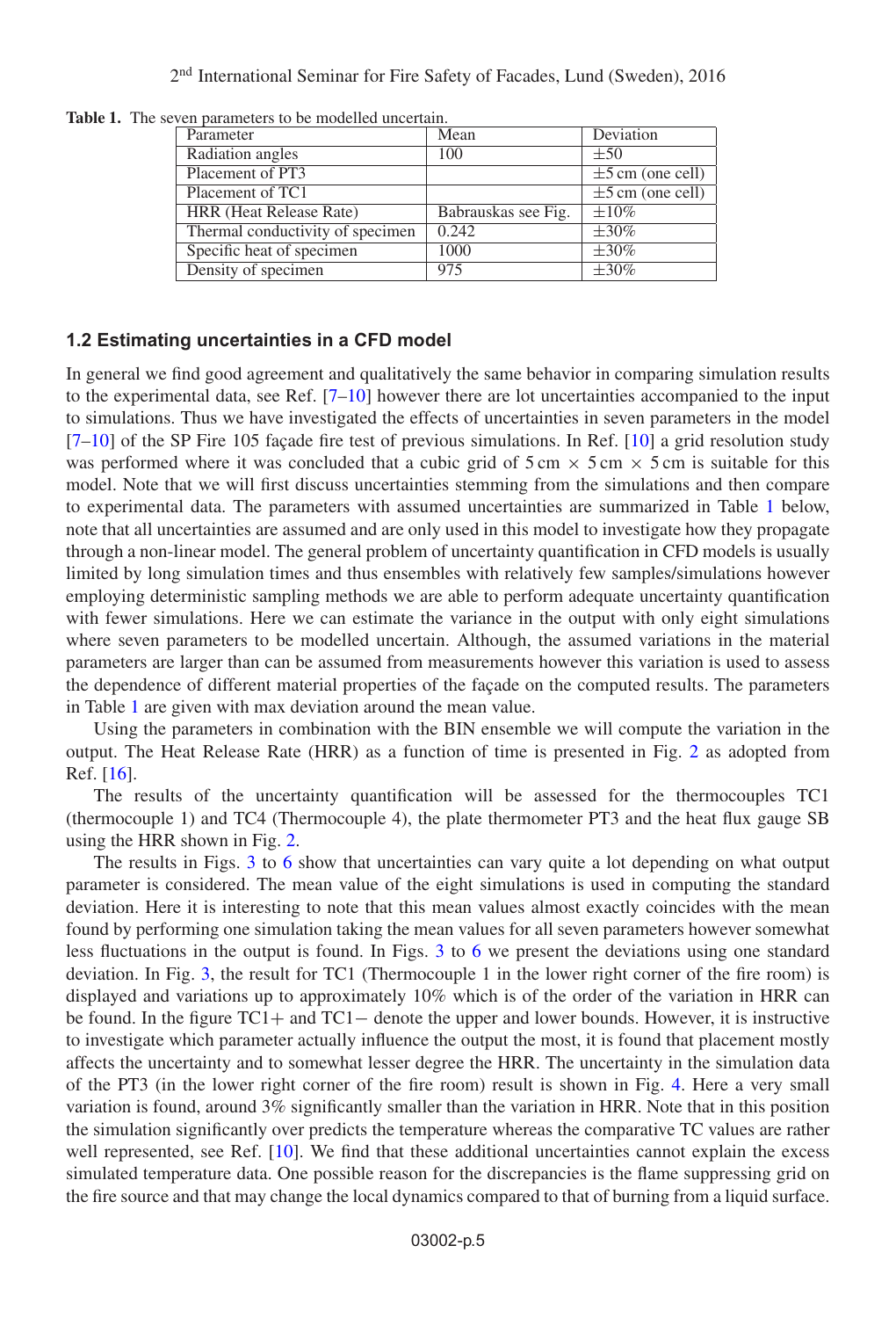2nd International Seminar for Fire Safety of Facades, Lund (Sweden), 2016

| Parameter                        | Mean                | Deviation             |
|----------------------------------|---------------------|-----------------------|
| Radiation angles                 | 100                 | $\pm 50$              |
| Placement of PT3                 |                     | $\pm 5$ cm (one cell) |
| Placement of TC1                 |                     | $\pm 5$ cm (one cell) |
| <b>HRR</b> (Heat Release Rate)   | Babrauskas see Fig. | $\pm 10\%$            |
| Thermal conductivity of specimen | 0.242               | $\pm 30\%$            |
| Specific heat of specimen        | 1000                | $\pm 30\%$            |
| Density of specimen              | 975                 | $\pm 30\%$            |

<span id="page-4-0"></span>Table 1. The seven parameters to be modelled uncertain.

#### **1.2 Estimating uncertainties in a CFD model**

In general we find good agreement and qualitatively the same behavior in comparing simulation results to the experimental data, see Ref. [\[7](#page-12-1)[–10\]](#page-12-3) however there are lot uncertainties accompanied to the input to simulations. Thus we have investigated the effects of uncertainties in seven parameters in the model  $[7-10]$  $[7-10]$  of the SP Fire 105 façade fire test of previous simulations. In Ref. [\[10](#page-12-3)] a grid resolution study was performed where it was concluded that a cubic grid of  $5 \text{ cm} \times 5 \text{ cm} \times 5 \text{ cm}$  is suitable for this model. Note that we will first discuss uncertainties stemming from the simulations and then compare to experimental data. The parameters with assumed uncertainties are summarized in Table [1](#page-4-0) below, note that all uncertainties are assumed and are only used in this model to investigate how they propagate through a non-linear model. The general problem of uncertainty quantification in CFD models is usually limited by long simulation times and thus ensembles with relatively few samples/simulations however employing deterministic sampling methods we are able to perform adequate uncertainty quantification with fewer simulations. Here we can estimate the variance in the output with only eight simulations where seven parameters to be modelled uncertain. Although, the assumed variations in the material parameters are larger than can be assumed from measurements however this variation is used to assess the dependence of different material properties of the façade on the computed results. The parameters in Table [1](#page-4-0) are given with max deviation around the mean value.

Using the parameters in combination with the BIN ensemble we will compute the variation in the output. The Heat Release Rate (HRR) as a function of time is presented in Fig. [2](#page-5-0) as adopted from Ref. [\[16](#page-12-9)].

The results of the uncertainty quantification will be assessed for the thermocouples TC1 (thermocouple 1) and TC4 (Thermocouple 4), the plate thermometer PT3 and the heat flux gauge SB using the HRR shown in Fig. [2.](#page-5-0)

The results in Figs. [3](#page-5-1) to [6](#page-7-0) show that uncertainties can vary quite a lot depending on what output parameter is considered. The mean value of the eight simulations is used in computing the standard deviation. Here it is interesting to note that this mean values almost exactly coincides with the mean found by performing one simulation taking the mean values for all seven parameters however somewhat less fluctuations in the output is found. In Figs. [3](#page-5-1) to [6](#page-7-0) we present the deviations using one standard deviation. In Fig. [3,](#page-5-1) the result for TC1 (Thermocouple 1 in the lower right corner of the fire room) is displayed and variations up to approximately 10% which is of the order of the variation in HRR can be found. In the figure TC1+ and TC1− denote the upper and lower bounds. However, it is instructive to investigate which parameter actually influence the output the most, it is found that placement mostly affects the uncertainty and to somewhat lesser degree the HRR. The uncertainty in the simulation data of the PT3 (in the lower right corner of the fire room) result is shown in Fig. [4.](#page-6-0) Here a very small variation is found, around 3% significantly smaller than the variation in HRR. Note that in this position the simulation significantly over predicts the temperature whereas the comparative TC values are rather well represented, see Ref. [\[10\]](#page-12-3). We find that these additional uncertainties cannot explain the excess simulated temperature data. One possible reason for the discrepancies is the flame suppressing grid on the fire source and that may change the local dynamics compared to that of burning from a liquid surface.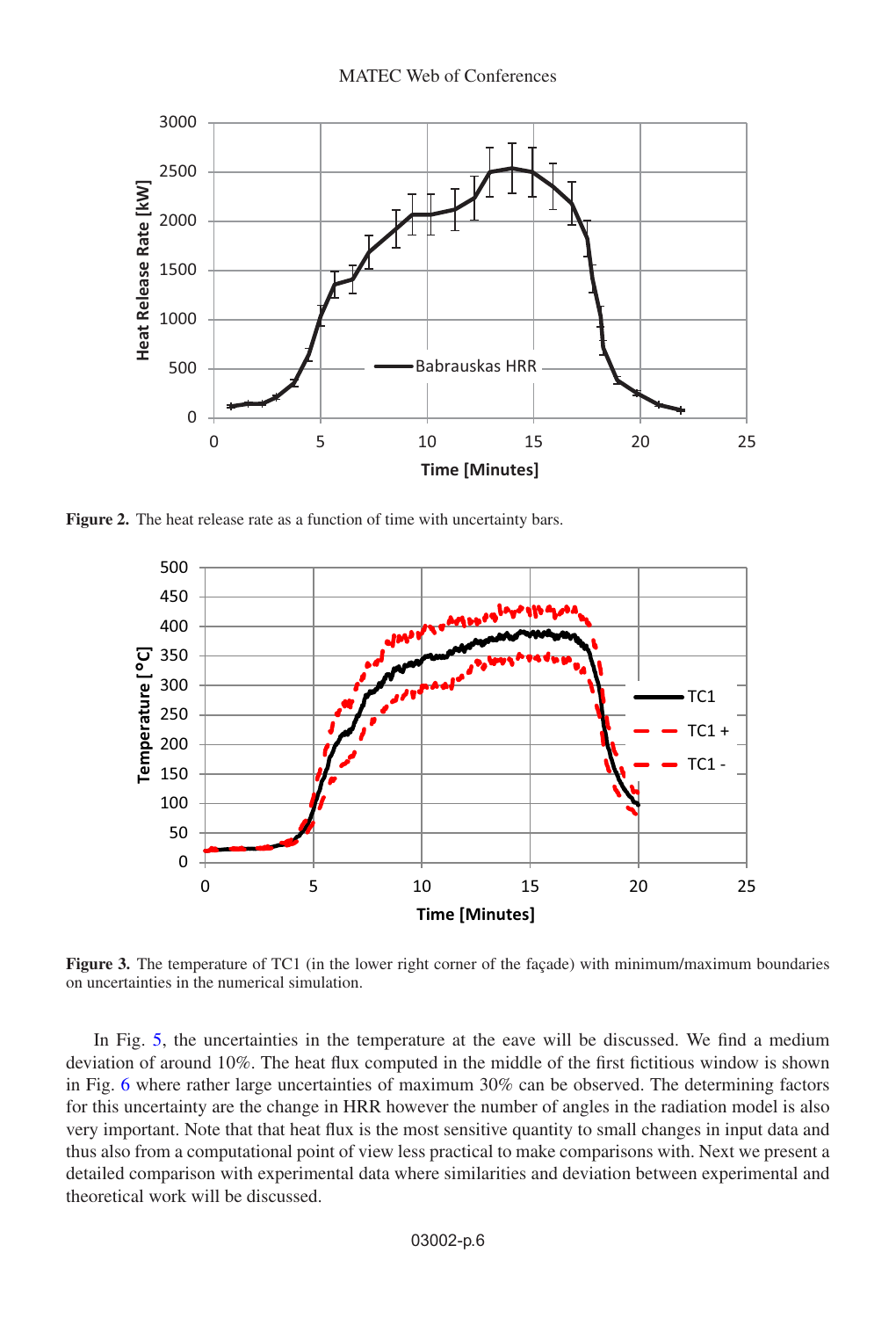<span id="page-5-0"></span>

<span id="page-5-1"></span>Figure 2. The heat release rate as a function of time with uncertainty bars.



**Figure 3.** The temperature of TC1 (in the lower right corner of the façade) with minimum/maximum boundaries on uncertainties in the numerical simulation.

In Fig. [5,](#page-6-1) the uncertainties in the temperature at the eave will be discussed. We find a medium deviation of around 10%. The heat flux computed in the middle of the first fictitious window is shown in Fig. [6](#page-7-0) where rather large uncertainties of maximum 30% can be observed. The determining factors for this uncertainty are the change in HRR however the number of angles in the radiation model is also very important. Note that that heat flux is the most sensitive quantity to small changes in input data and thus also from a computational point of view less practical to make comparisons with. Next we present a detailed comparison with experimental data where similarities and deviation between experimental and theoretical work will be discussed.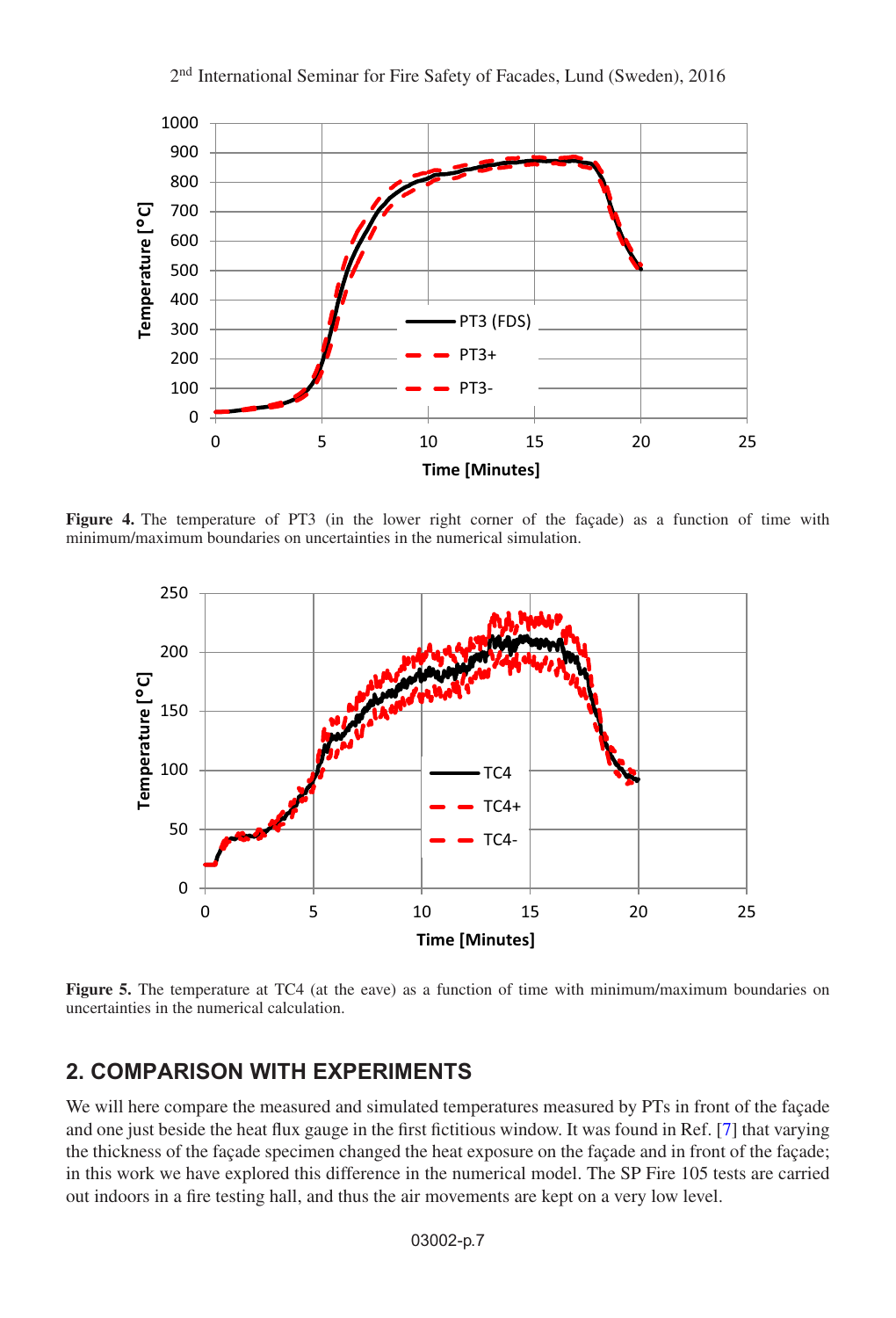

<span id="page-6-0"></span>

<span id="page-6-1"></span>**Figure 4.** The temperature of PT3 (in the lower right corner of the façade) as a function of time with minimum/maximum boundaries on uncertainties in the numerical simulation.



**Figure 5.** The temperature at TC4 (at the eave) as a function of time with minimum/maximum boundaries on uncertainties in the numerical calculation.

## **2. COMPARISON WITH EXPERIMENTS**

We will here compare the measured and simulated temperatures measured by PTs in front of the façade and one just beside the heat flux gauge in the first fictitious window. It was found in Ref. [\[7\]](#page-12-1) that varying the thickness of the façade specimen changed the heat exposure on the façade and in front of the façade; in this work we have explored this difference in the numerical model. The SP Fire 105 tests are carried out indoors in a fire testing hall, and thus the air movements are kept on a very low level.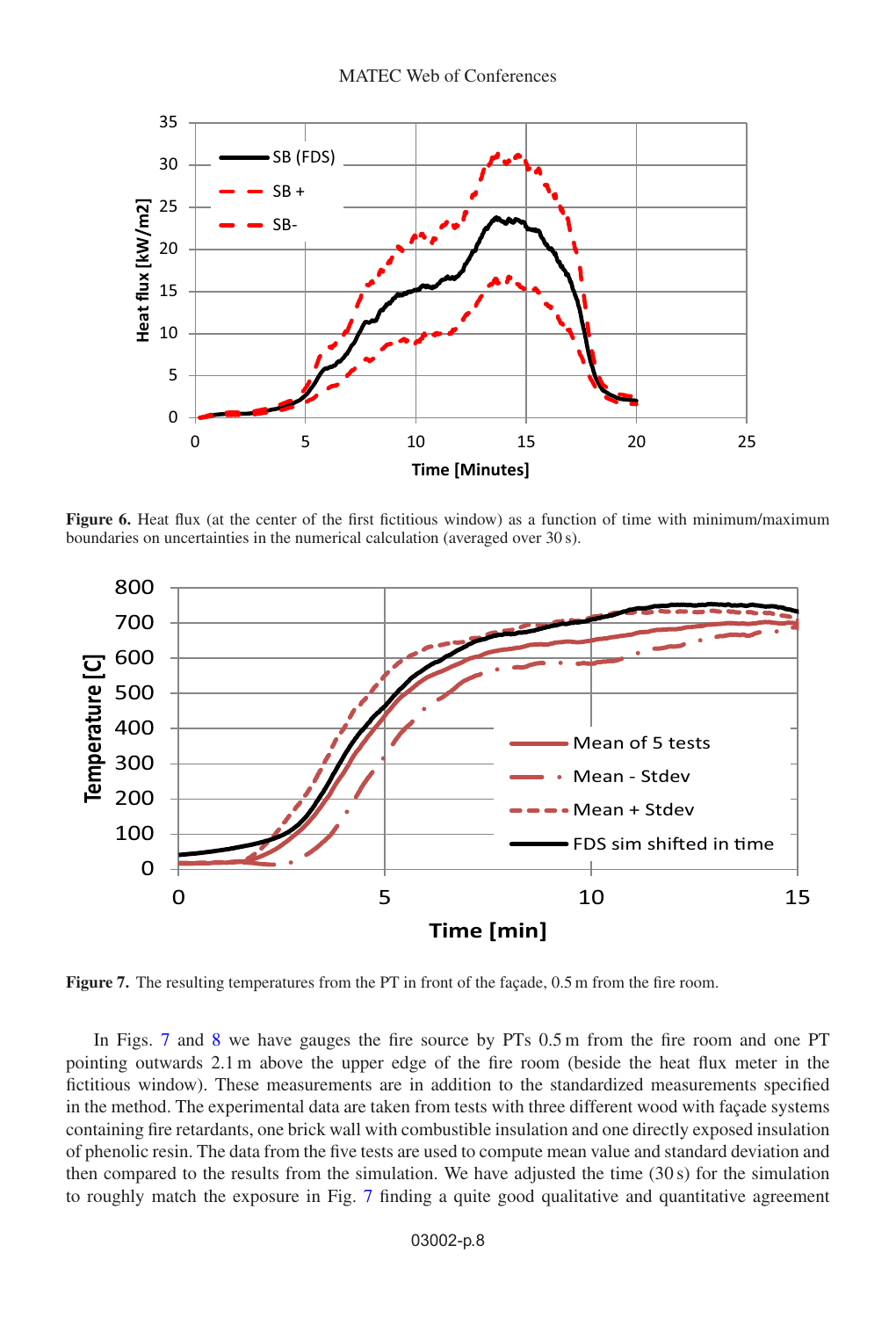<span id="page-7-0"></span>

**Figure 6.** Heat flux (at the center of the first fictitious window) as a function of time with minimum/maximum boundaries on uncertainties in the numerical calculation (averaged over 30 s).

<span id="page-7-1"></span>

**Figure 7.** The resulting temperatures from the PT in front of the façade, 0.5 m from the fire room.

In Figs. [7](#page-7-1) and [8](#page-8-0) we have gauges the fire source by PTs 0.5 m from the fire room and one PT pointing outwards 2.1 m above the upper edge of the fire room (beside the heat flux meter in the fictitious window). These measurements are in addition to the standardized measurements specified in the method. The experimental data are taken from tests with three different wood with façade systems containing fire retardants, one brick wall with combustible insulation and one directly exposed insulation of phenolic resin. The data from the five tests are used to compute mean value and standard deviation and then compared to the results from the simulation. We have adjusted the time  $(30 s)$  for the simulation to roughly match the exposure in Fig. [7](#page-7-1) finding a quite good qualitative and quantitative agreement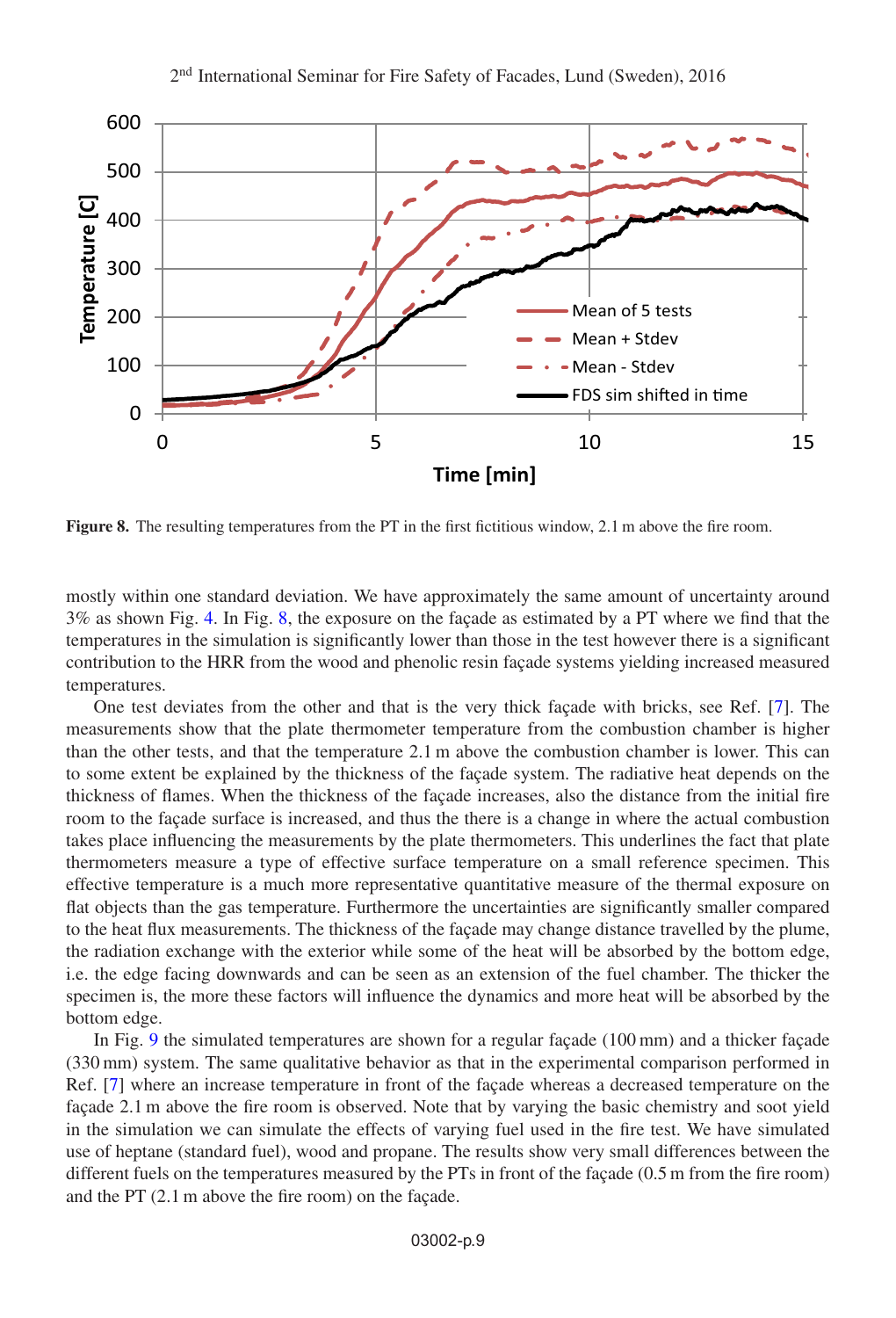<span id="page-8-0"></span>

**Figure 8.** The resulting temperatures from the PT in the first fictitious window, 2.1 m above the fire room.

 $\Omega$ 

100

mostly within one standard deviation. We have approximately the same amount of uncertainty around 3% as shown Fig. [4.](#page-6-0) In Fig. [8,](#page-8-0) the exposure on the façade as estimated by a PT where we find that the temperatures in the simulation is significantly lower than those in the test however there is a significant contribution to the HRR from the wood and phenolic resin façade systems yielding increased measured temperatures.

0 5 10 15

Mean - Stdev

FDS sim shifted in time

**Time [min]**

One test deviates from the other and that is the very thick façade with bricks, see Ref. [\[7\]](#page-12-1). The measurements show that the plate thermometer temperature from the combustion chamber is higher than the other tests, and that the temperature 2.1 m above the combustion chamber is lower. This can to some extent be explained by the thickness of the façade system. The radiative heat depends on the thickness of flames. When the thickness of the façade increases, also the distance from the initial fire room to the façade surface is increased, and thus the there is a change in where the actual combustion takes place influencing the measurements by the plate thermometers. This underlines the fact that plate thermometers measure a type of effective surface temperature on a small reference specimen. This effective temperature is a much more representative quantitative measure of the thermal exposure on flat objects than the gas temperature. Furthermore the uncertainties are significantly smaller compared to the heat flux measurements. The thickness of the façade may change distance travelled by the plume, the radiation exchange with the exterior while some of the heat will be absorbed by the bottom edge, i.e. the edge facing downwards and can be seen as an extension of the fuel chamber. The thicker the specimen is, the more these factors will influence the dynamics and more heat will be absorbed by the bottom edge.

In Fig. [9](#page-9-0) the simulated temperatures are shown for a regular façade (100 mm) and a thicker façade (330 mm) system. The same qualitative behavior as that in the experimental comparison performed in Ref. [\[7\]](#page-12-1) where an increase temperature in front of the façade whereas a decreased temperature on the façade 2.1 m above the fire room is observed. Note that by varying the basic chemistry and soot yield in the simulation we can simulate the effects of varying fuel used in the fire test. We have simulated use of heptane (standard fuel), wood and propane. The results show very small differences between the different fuels on the temperatures measured by the PTs in front of the façade (0.5 m from the fire room) and the PT (2.1 m above the fire room) on the façade.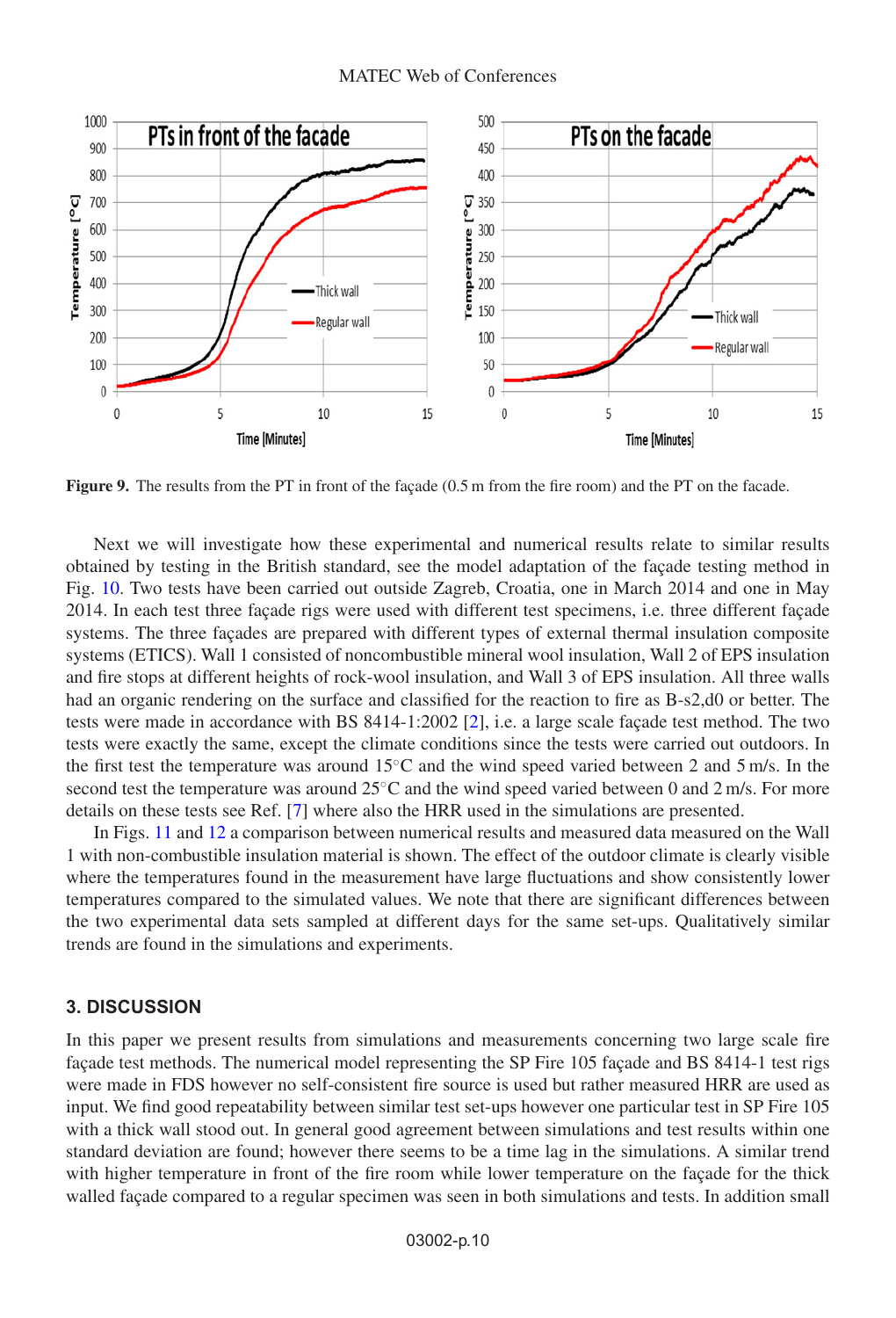<span id="page-9-0"></span>

**Figure 9.** The results from the PT in front of the façade (0.5 m from the fire room) and the PT on the facade.

Next we will investigate how these experimental and numerical results relate to similar results obtained by testing in the British standard, see the model adaptation of the façade testing method in Fig. [10.](#page-10-0) Two tests have been carried out outside Zagreb, Croatia, one in March 2014 and one in May 2014. In each test three façade rigs were used with different test specimens, i.e. three different façade systems. The three façades are prepared with different types of external thermal insulation composite systems (ETICS). Wall 1 consisted of noncombustible mineral wool insulation, Wall 2 of EPS insulation and fire stops at different heights of rock-wool insulation, and Wall 3 of EPS insulation. All three walls had an organic rendering on the surface and classified for the reaction to fire as B-s2,d0 or better. The tests were made in accordance with BS 8414-1:2002 [\[2\]](#page-11-1), i.e. a large scale façade test method. The two tests were exactly the same, except the climate conditions since the tests were carried out outdoors. In the first test the temperature was around 15◦C and the wind speed varied between 2 and 5 m/s. In the second test the temperature was around 25℃ and the wind speed varied between 0 and 2 m/s. For more details on these tests see Ref. [\[7\]](#page-12-1) where also the HRR used in the simulations are presented.

In Figs. [11](#page-10-1) and [12](#page-11-3) a comparison between numerical results and measured data measured on the Wall 1 with non-combustible insulation material is shown. The effect of the outdoor climate is clearly visible where the temperatures found in the measurement have large fluctuations and show consistently lower temperatures compared to the simulated values. We note that there are significant differences between the two experimental data sets sampled at different days for the same set-ups. Qualitatively similar trends are found in the simulations and experiments.

### **3. DISCUSSION**

In this paper we present results from simulations and measurements concerning two large scale fire façade test methods. The numerical model representing the SP Fire 105 façade and BS 8414-1 test rigs were made in FDS however no self-consistent fire source is used but rather measured HRR are used as input. We find good repeatability between similar test set-ups however one particular test in SP Fire 105 with a thick wall stood out. In general good agreement between simulations and test results within one standard deviation are found; however there seems to be a time lag in the simulations. A similar trend with higher temperature in front of the fire room while lower temperature on the façade for the thick walled façade compared to a regular specimen was seen in both simulations and tests. In addition small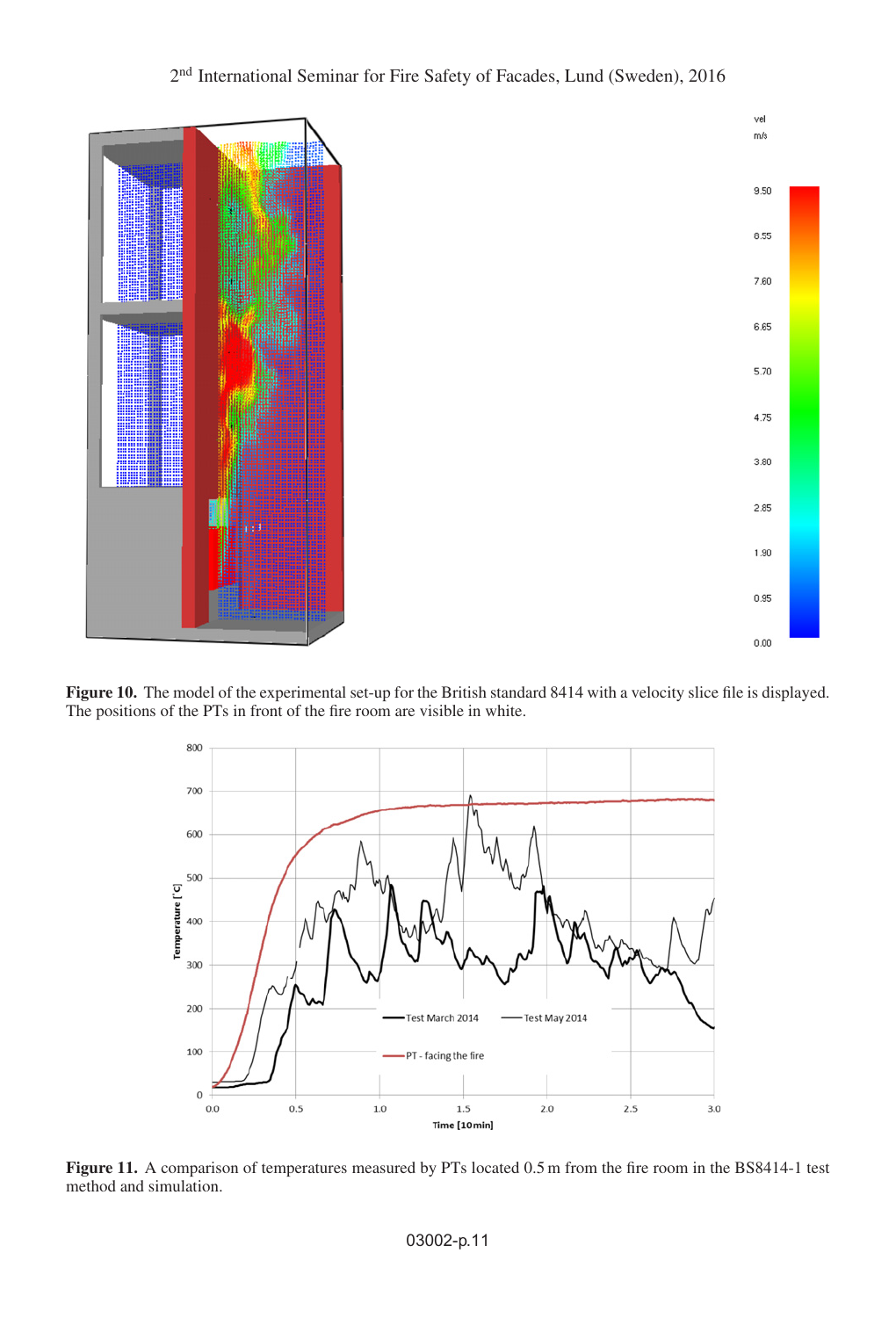<span id="page-10-0"></span>

<span id="page-10-1"></span>**Figure 10.** The model of the experimental set-up for the British standard 8414 with a velocity slice file is displayed. The positions of the PTs in front of the fire room are visible in white.



Figure 11. A comparison of temperatures measured by PTs located 0.5 m from the fire room in the BS8414-1 test method and simulation.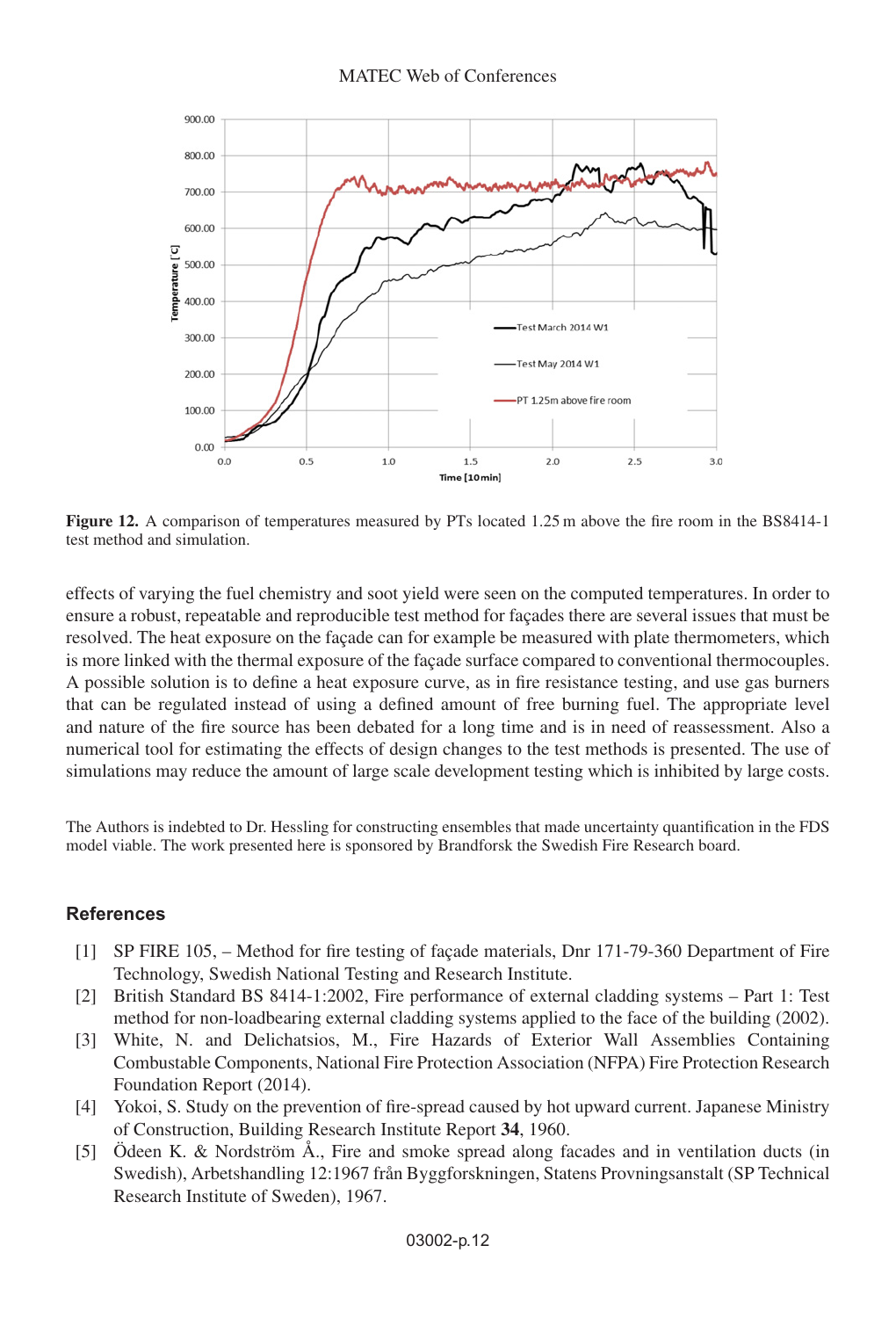<span id="page-11-3"></span>

**Figure 12.** A comparison of temperatures measured by PTs located 1.25 m above the fire room in the BS8414-1 test method and simulation.

effects of varying the fuel chemistry and soot yield were seen on the computed temperatures. In order to ensure a robust, repeatable and reproducible test method for façades there are several issues that must be resolved. The heat exposure on the façade can for example be measured with plate thermometers, which is more linked with the thermal exposure of the façade surface compared to conventional thermocouples. A possible solution is to define a heat exposure curve, as in fire resistance testing, and use gas burners that can be regulated instead of using a defined amount of free burning fuel. The appropriate level and nature of the fire source has been debated for a long time and is in need of reassessment. Also a numerical tool for estimating the effects of design changes to the test methods is presented. The use of simulations may reduce the amount of large scale development testing which is inhibited by large costs.

The Authors is indebted to Dr. Hessling for constructing ensembles that made uncertainty quantification in the FDS model viable. The work presented here is sponsored by Brandforsk the Swedish Fire Research board.

#### <span id="page-11-0"></span>**References**

- [1] SP FIRE 105, Method for fire testing of façade materials, Dnr 171-79-360 Department of Fire Technology, Swedish National Testing and Research Institute.
- <span id="page-11-1"></span>[2] British Standard BS 8414-1:2002, Fire performance of external cladding systems – Part 1: Test method for non-loadbearing external cladding systems applied to the face of the building (2002).
- <span id="page-11-2"></span>[3] White, N. and Delichatsios, M., Fire Hazards of Exterior Wall Assemblies Containing Combustable Components, National Fire Protection Association (NFPA) Fire Protection Research Foundation Report (2014).
- [4] Yokoi, S. Study on the prevention of fire-spread caused by hot upward current. Japanese Ministry of Construction, Building Research Institute Report **34**, 1960.
- [5] Ödeen K. & Nordström Å., Fire and smoke spread along facades and in ventilation ducts (in Swedish), Arbetshandling 12:1967 från Byggforskningen, Statens Provningsanstalt (SP Technical Research Institute of Sweden), 1967.